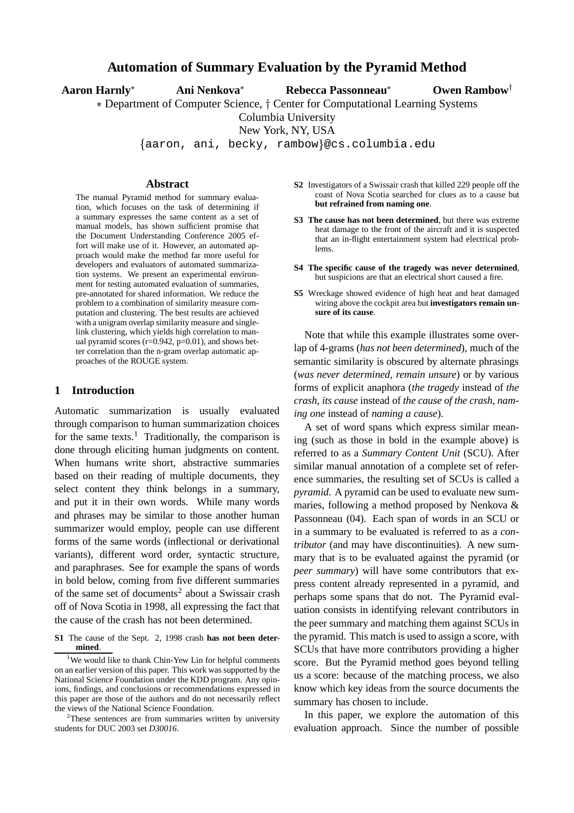# **Automation of Summary Evaluation by the Pyramid Method**

| Aaron Harnly*<br>Ani Nenkova* | Rebecca Passonneau* | <b>Owen Rambow</b> |
|-------------------------------|---------------------|--------------------|
|-------------------------------|---------------------|--------------------|

\* Department of Computer Science, † Center for Computational Learning Systems

Columbia University

New York, NY, USA

aaron, ani, becky, rambow @cs.columbia.edu

## **Abstract**

The manual Pyramid method for summary evaluation, which focuses on the task of determining if a summary expresses the same content as a set of manual models, has shown sufficient promise that the Document Understanding Conference 2005 effort will make use of it. However, an automated approach would make the method far more useful for developers and evaluators of automated summarization systems. We present an experimental environment for testing automated evaluation of summaries, pre-annotated for shared information. We reduce the problem to a combination of similarity measure computation and clustering. The best results are achieved with a unigram overlap similarity measure and singlelink clustering, which yields high correlation to manual pyramid scores ( $r=0.942$ ,  $p=0.01$ ), and shows better correlation than the n-gram overlap automatic approaches of the ROUGE system.

#### **1 Introduction**

Automatic summarization is usually evaluated through comparison to human summarization choices for the same texts.<sup>1</sup> Traditionally, the comparison is done through eliciting human judgments on content. When humans write short, abstractive summaries based on their reading of multiple documents, they select content they think belongs in a summary, and put it in their own words. While many words and phrases may be similar to those another human summarizer would employ, people can use different forms of the same words (inflectional or derivational variants), different word order, syntactic structure, and paraphrases. See for example the spans of words in bold below, coming from five different summaries of the same set of documents<sup>2</sup> about a Swissair crash off of Nova Scotia in 1998, all expressing the fact that the cause of the crash has not been determined.

- **S2** Investigators of a Swissair crash that killed 229 people off the coast of Nova Scotia searched for clues as to a cause but **but refrained from naming one**.
- **S3 The cause has not been determined**, but there was extreme heat damage to the front of the aircraft and it is suspected that an in-flight entertainment system had electrical problems.
- **S4 The specific cause of the tragedy was never determined**, but suspicions are that an electrical short caused a fire.
- **S5** Wreckage showed evidence of high heat and heat damaged wiring above the cockpit area but **investigators remain unsure of its cause**.

Note that while this example illustrates some overlap of 4-grams (*has not been determined*), much of the semantic similarity is obscured by alternate phrasings (*was never determined*, *remain unsure*) or by various forms of explicit anaphora (*the tragedy* instead of *the crash*, *its cause* instead of *the cause of the crash*, *naming one* instead of *naming a cause*).

A set of word spans which express similar meaning (such as those in bold in the example above) is referred to as a *Summary Content Unit* (SCU). After similar manual annotation of a complete set of reference summaries, the resulting set of SCUs is called a *pyramid*. A pyramid can be used to evaluate new summaries, following a method proposed by Nenkova & Passonneau (04). Each span of words in an SCU or in a summary to be evaluated is referred to as a *contributor* (and may have discontinuities). A new summary that is to be evaluated against the pyramid (or *peer summary*) will have some contributors that express content already represented in a pyramid, and perhaps some spans that do not. The Pyramid evaluation consists in identifying relevant contributors in the peer summary and matching them against SCUs in the pyramid. This match is used to assign a score, with SCUs that have more contributors providing a higher score. But the Pyramid method goes beyond telling us a score: because of the matching process, we also know which key ideas from the source documents the summary has chosen to include.

In this paper, we explore the automation of this evaluation approach. Since the number of possible

**S1** The cause of the Sept. 2, 1998 crash **has not been determined**.

<sup>&</sup>lt;sup>1</sup>We would like to thank Chin-Yew Lin for helpful comments on an earlier version of this paper. This work was supported by the National Science Foundation under the KDD program. Any opinions, findings, and conclusions or recommendations expressed in this paper are those of the authors and do not necessarily reflect the views of the National Science Foundation.

<sup>&</sup>lt;sup>2</sup>These sentences are from summaries written by university students for DUC 2003 set *D30016*.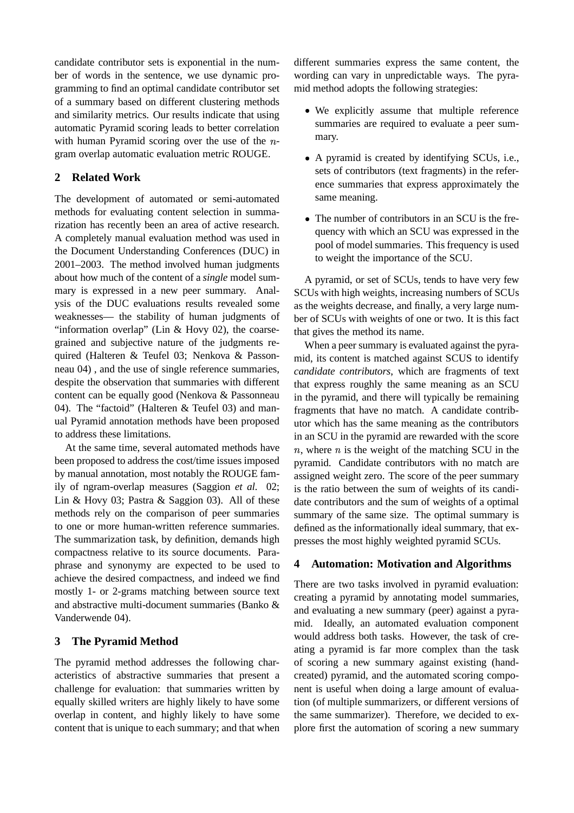candidate contributor sets is exponential in the number of words in the sentence, we use dynamic programming to find an optimal candidate contributor set of a summary based on different clustering methods and similarity metrics. Our results indicate that using automatic Pyramid scoring leads to better correlation with human Pyramid scoring over the use of the  $n$ gram overlap automatic evaluation metric ROUGE.

# **2 Related Work**

The development of automated or semi-automated methods for evaluating content selection in summarization has recently been an area of active research. A completely manual evaluation method was used in the Document Understanding Conferences (DUC) in 2001–2003. The method involved human judgments about how much of the content of a *single* model summary is expressed in a new peer summary. Analysis of the DUC evaluations results revealed some weaknesses— the stability of human judgments of "information overlap" (Lin  $&$  Hovy 02), the coarsegrained and subjective nature of the judgments required (Halteren & Teufel 03; Nenkova & Passonneau 04) , and the use of single reference summaries, despite the observation that summaries with different content can be equally good (Nenkova & Passonneau 04). The "factoid" (Halteren & Teufel 03) and manual Pyramid annotation methods have been proposed to address these limitations.

At the same time, several automated methods have been proposed to address the cost/time issues imposed by manual annotation, most notably the ROUGE family of ngram-overlap measures (Saggion *et al.* 02; Lin & Hovy 03; Pastra & Saggion 03). All of these methods rely on the comparison of peer summaries to one or more human-written reference summaries. The summarization task, by definition, demands high compactness relative to its source documents. Paraphrase and synonymy are expected to be used to achieve the desired compactness, and indeed we find mostly 1- or 2-grams matching between source text and abstractive multi-document summaries (Banko & Vanderwende 04).

# **3 The Pyramid Method**

The pyramid method addresses the following characteristics of abstractive summaries that present a challenge for evaluation: that summaries written by equally skilled writers are highly likely to have some overlap in content, and highly likely to have some content that is unique to each summary; and that when different summaries express the same content, the wording can vary in unpredictable ways. The pyramid method adopts the following strategies:

- We explicitly assume that multiple reference summaries are required to evaluate a peer summary.
- A pyramid is created by identifying SCUs, i.e., sets of contributors (text fragments) in the reference summaries that express approximately the same meaning.
- The number of contributors in an SCU is the frequency with which an SCU was expressed in the pool of model summaries. This frequency is used to weight the importance of the SCU.

A pyramid, or set of SCUs, tends to have very few SCUs with high weights, increasing numbers of SCUs as the weights decrease, and finally, a very large number of SCUs with weights of one or two. It is this fact that gives the method its name.

When a peer summary is evaluated against the pyramid, its content is matched against SCUS to identify *candidate contributors*, which are fragments of text that express roughly the same meaning as an SCU in the pyramid, and there will typically be remaining fragments that have no match. A candidate contributor which has the same meaning as the contributors in an SCU in the pyramid are rewarded with the score  $n$ , where  $n$  is the weight of the matching SCU in the pyramid. Candidate contributors with no match are assigned weight zero. The score of the peer summary is the ratio between the sum of weights of its candidate contributors and the sum of weights of a optimal summary of the same size. The optimal summary is defined as the informationally ideal summary, that expresses the most highly weighted pyramid SCUs.

# **4 Automation: Motivation and Algorithms**

There are two tasks involved in pyramid evaluation: creating a pyramid by annotating model summaries, and evaluating a new summary (peer) against a pyramid. Ideally, an automated evaluation component would address both tasks. However, the task of creating a pyramid is far more complex than the task of scoring a new summary against existing (handcreated) pyramid, and the automated scoring component is useful when doing a large amount of evaluation (of multiple summarizers, or different versions of the same summarizer). Therefore, we decided to explore first the automation of scoring a new summary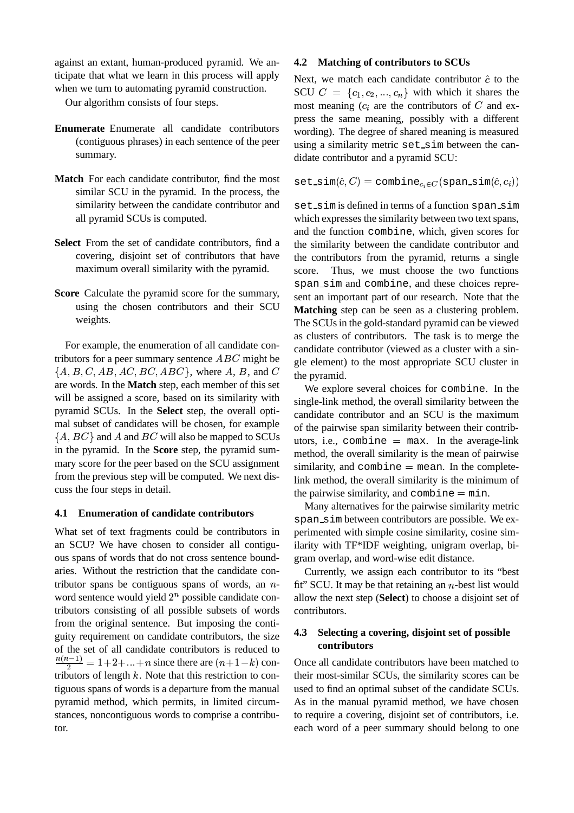against an extant, human-produced pyramid. We anticipate that what we learn in this process will apply when we turn to automating pyramid construction.

Our algorithm consists of four steps.

- **Enumerate** Enumerate all candidate contributors (contiguous phrases) in each sentence of the peer summary.
- **Match** For each candidate contributor, find the most similar SCU in the pyramid. In the process, the similarity between the candidate contributor and all pyramid SCUs is computed.
- **Select** From the set of candidate contributors, find a covering, disjoint set of contributors that have maximum overall similarity with the pyramid.
- **Score** Calculate the pyramid score for the summary, using the chosen contributors and their SCU weights.

For example, the enumeration of all candidate contributors for a peer summary sentence  $ABC$  might be  $\sigma_{\text{de}}$  $\{A, B, C, AB, AC, BC, ABC\}$ , where A, B, and C the n are words. In the **Match** step, each member of this set will be assigned a score, based on its similarity with pyramid SCUs. In the **Select** step, the overall optimal subset of candidates will be chosen, for example  $\{A, BC\}$  and A and  $BC$  will also be mapped to SCUs in the pyramid. In the **Score** step, the pyramid summary score for the peer based on the SCU assignment from the previous step will be computed. We next discuss the four steps in detail.

#### **4.1 Enumeration of candidate contributors**

What set of text fragments could be contributors in an SCU? We have chosen to consider all contiguous spans of words that do not cross sentence boundaries. Without the restriction that the candidate contributor spans be contiguous spans of words, an  $n$ word sentence would yield  $2^n$  possible candidate contributors consisting of all possible subsets of words from the original sentence. But imposing the contiguity requirement on candidate contributors, the size of the set of all candidate contributors is reduced to  $\frac{n(n-1)}{2} = 1 + 2 + ... + n$  since there are  $(n+1-k)$  contributors of length  $k$ . Note that this restriction to contiguous spans of words is a departure from the manual pyramid method, which permits, in limited circumstances, noncontiguous words to comprise a contributor.

## **4.2 Matching of contributors to SCUs**

Next, we match each candidate contributor  $\hat{c}$  to the SCU  $C = \{c_1, c_2, ..., c_n\}$  with which it shares the most meaning  $(c_i$  are the contributors of C and express the same meaning, possibly with a different wording). The degree of shared meaning is measured using a similarity metric set\_sim between the candidate contributor and a pyramid SCU:

 $\texttt{set}.\texttt{sim}(\hat{c},C) = \texttt{combine}_{c_i \in C}(\texttt{span\_sim}(\hat{c},c_i))$ 

, and  $C$  the pyramid. set\_sim is defined in terms of a function span\_sim which expresses the similarity between two text spans, and the function combine, which, given scores for the similarity between the candidate contributor and the contributors from the pyramid, returns a single score. Thus, we must choose the two functions span sim and combine, and these choices represent an important part of our research. Note that the **Matching** step can be seen as a clustering problem. The SCUs in the gold-standard pyramid can be viewed as clusters of contributors. The task is to merge the candidate contributor (viewed as a cluster with a single element) to the most appropriate SCU cluster in

> We explore several choices for combine. In the single-link method, the overall similarity between the candidate contributor and an SCU is the maximum of the pairwise span similarity between their contributors, i.e., combine  $=$  max. In the average-link method, the overall similarity is the mean of pairwise similarity, and combine  $=$  mean. In the completelink method, the overall similarity is the minimum of the pairwise similarity, and combine  $=$  min.

> Many alternatives for the pairwise similarity metric span sim between contributors are possible. We experimented with simple cosine similarity, cosine similarity with TF\*IDF weighting, unigram overlap, bigram overlap, and word-wise edit distance.

> Currently, we assign each contributor to its "best fit" SCU. It may be that retaining an  $n$ -best list would allow the next step (**Select**) to choose a disjoint set of contributors.

## **4.3 Selecting a covering, disjoint set of possible contributors**

Once all candidate contributors have been matched to their most-similar SCUs, the similarity scores can be used to find an optimal subset of the candidate SCUs. As in the manual pyramid method, we have chosen to require a covering, disjoint set of contributors, i.e. each word of a peer summary should belong to one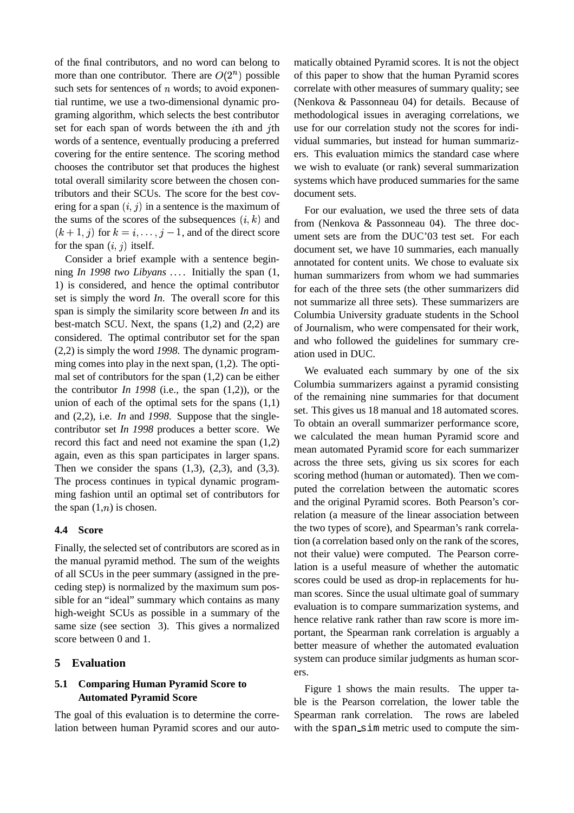of the final contributors, and no word can belong to more than one contributor. There are  $O(2^n)$  possible such sets for sentences of  $n$  words; to avoid exponential runtime, we use a two-dimensional dynamic programing algorithm, which selects the best contributor set for each span of words between the  $i$ th and  $j$ th words of a sentence, eventually producing a preferred covering for the entire sentence. The scoring method chooses the contributor set that produces the highest total overall similarity score between the chosen contributors and their SCUs. The score for the best covering for a span  $(i, j)$  in a sentence is the maximum of the sums of the scores of the subsequences  $(i, k)$  and  $(k+1, j)$  for  $k = i, \ldots, j-1$ , and of the direct score for the span  $(i, j)$  itself.

Consider a brief example with a sentence beginning *In 1998 two Libyans . . .* . Initially the span (1, 1) is considered, and hence the optimal contributor set is simply the word *In*. The overall score for this span is simply the similarity score between *In* and its best-match SCU. Next, the spans (1,2) and (2,2) are considered. The optimal contributor set for the span (2,2) is simply the word *1998*. The dynamic programming comes into play in the next span, (1,2). The optimal set of contributors for the span (1,2) can be either the contributor *In 1998* (i.e., the span (1,2)), or the union of each of the optimal sets for the spans  $(1,1)$ and (2,2), i.e. *In* and *1998*. Suppose that the singlecontributor set *In 1998* produces a better score. We record this fact and need not examine the span (1,2) again, even as this span participates in larger spans. Then we consider the spans  $(1,3)$ ,  $(2,3)$ , and  $(3,3)$ . The process continues in typical dynamic programming fashion until an optimal set of contributors for the span  $(1,n)$  is chosen.

## **4.4 Score**

Finally, the selected set of contributors are scored as in the manual pyramid method. The sum of the weights of all SCUs in the peer summary (assigned in the preceding step) is normalized by the maximum sum possible for an "ideal" summary which contains as many high-weight SCUs as possible in a summary of the same size (see section 3). This gives a normalized score between 0 and 1.

## **5 Evaluation**

## **5.1 Comparing Human Pyramid Score to Automated Pyramid Score**

The goal of this evaluation is to determine the correlation between human Pyramid scores and our auto-

 th use for our correlation study not the scores for indimatically obtained Pyramid scores. It is not the object of this paper to show that the human Pyramid scores correlate with other measures of summary quality; see (Nenkova & Passonneau 04) for details. Because of methodological issues in averaging correlations, we vidual summaries, but instead for human summarizers. This evaluation mimics the standard case where we wish to evaluate (or rank) several summarization systems which have produced summaries for the same document sets.

For our evaluation, we used the three sets of data from (Nenkova & Passonneau 04). The three document sets are from the DUC'03 test set. For each document set, we have 10 summaries, each manually annotated for content units. We chose to evaluate six human summarizers from whom we had summaries for each of the three sets (the other summarizers did not summarize all three sets). These summarizers are Columbia University graduate students in the School of Journalism, who were compensated for their work, and who followed the guidelines for summary creation used in DUC.

We evaluated each summary by one of the six Columbia summarizers against a pyramid consisting of the remaining nine summaries for that document set. This gives us 18 manual and 18 automated scores. To obtain an overall summarizer performance score, we calculated the mean human Pyramid score and mean automated Pyramid score for each summarizer across the three sets, giving us six scores for each scoring method (human or automated). Then we computed the correlation between the automatic scores and the original Pyramid scores. Both Pearson's correlation (a measure of the linear association between the two types of score), and Spearman's rank correlation (a correlation based only on the rank of the scores, not their value) were computed. The Pearson correlation is a useful measure of whether the automatic scores could be used as drop-in replacements for human scores. Since the usual ultimate goal of summary evaluation is to compare summarization systems, and hence relative rank rather than raw score is more important, the Spearman rank correlation is arguably a better measure of whether the automated evaluation system can produce similar judgments as human scorers.

Figure 1 shows the main results. The upper table is the Pearson correlation, the lower table the Spearman rank correlation. The rows are labeled with the span\_sim metric used to compute the sim-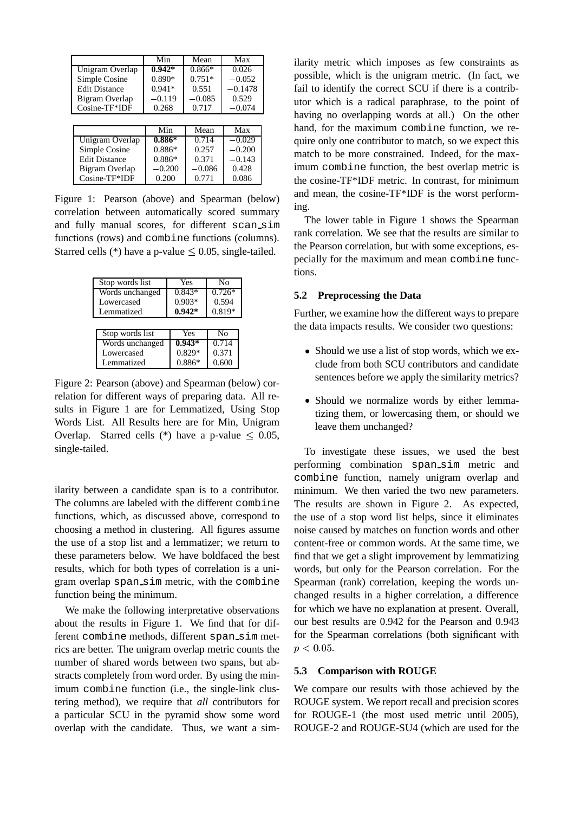|                      | Min      | Mean           | Max       |
|----------------------|----------|----------------|-----------|
| Unigram Overlap      | $0.942*$ | $0.866*$       | 0.026     |
| Simple Cosine        | 0.890*   | $0.751*$       | $-0.052$  |
| <b>Edit Distance</b> | $0.941*$ | 0.551          | $-0.1478$ |
| Bigram Overlap       | $-0.119$ | $-0.085$       | 0.529     |
| Cosine-TF*IDF        | 0.268    | 0.717          | $-0.074$  |
|                      |          |                |           |
|                      | Min      | Mean           | Max       |
| Unigram Overlap      | $0.886*$ | $\sqrt{0.714}$ | $-0.029$  |
| Simple Cosine        | $0.886*$ | 0.257          | $-0.200$  |
| <b>Edit Distance</b> | $0.886*$ | 0.371          | $-0.143$  |
| Bigram Overlap       | $-0.200$ | $-0.086$       | 0.428     |
| $Cosine-TF*IDF$      | 0.200    | 0.771          | 0.086     |

Figure 1: Pearson (above) and Spearman (below) correlation between automatically scored summary and fully manual scores, for different scan sim functions (rows) and combine functions (columns). Starred cells  $(*)$  have a p-value  $\leq 0.05$ , single-tailed.

| Stop words list | Yes      | No       |
|-----------------|----------|----------|
| Words unchanged | $0.843*$ | $0.726*$ |
| Lowercased      | $0.903*$ | 0.594    |
| Lemmatized      | $0.942*$ | 0.819*   |
|                 |          |          |
| Stop words list | Yes      | No       |
| Words unchanged | $0.943*$ | 0.714    |
| Lowercased      | $0.829*$ | 0.371    |
| Lemmatized      | $0.886*$ | 0.600    |

Figure 2: Pearson (above) and Spearman (below) correlation for different ways of preparing data. All results in Figure 1 are for Lemmatized, Using Stop Words List. All Results here are for Min, Unigram Overlap. Starred cells (\*) have a p-value  $\leq 0.05$ , single-tailed.

ilarity between a candidate span is to a contributor. The columns are labeled with the different combine functions, which, as discussed above, correspond to choosing a method in clustering. All figures assume the use of a stop list and a lemmatizer; we return to these parameters below. We have boldfaced the best results, which for both types of correlation is a unigram overlap span sim metric, with the combine function being the minimum.

We make the following interpretative observations about the results in Figure 1. We find that for different combine methods, different span sim metrics are better. The unigram overlap metric counts the number of shared words between two spans, but abstracts completely from word order. By using the minimum combine function (i.e., the single-link clustering method), we require that *all* contributors for a particular SCU in the pyramid show some word overlap with the candidate. Thus, we want a sim-

ilarity metric which imposes as few constraints as possible, which is the unigram metric. (In fact, we fail to identify the correct SCU if there is a contributor which is a radical paraphrase, to the point of having no overlapping words at all.) On the other hand, for the maximum combine function, we require only one contributor to match, so we expect this match to be more constrained. Indeed, for the maximum combine function, the best overlap metric is the cosine-TF\*IDF metric. In contrast, for minimum and mean, the cosine-TF\*IDF is the worst performing.

The lower table in Figure 1 shows the Spearman rank correlation. We see that the results are similar to the Pearson correlation, but with some exceptions, especially for the maximum and mean combine functions.

## **5.2 Preprocessing the Data**

Further, we examine how the different ways to prepare the data impacts results. We consider two questions:

- Should we use a list of stop words, which we exclude from both SCU contributors and candidate sentences before we apply the similarity metrics?
- Should we normalize words by either lemmatizing them, or lowercasing them, or should we leave them unchanged?

To investigate these issues, we used the best performing combination span sim metric and combine function, namely unigram overlap and minimum. We then varied the two new parameters. The results are shown in Figure 2. As expected, the use of a stop word list helps, since it eliminates noise caused by matches on function words and other content-free or common words. At the same time, we find that we get a slight improvement by lemmatizing words, but only for the Pearson correlation. For the Spearman (rank) correlation, keeping the words unchanged results in a higher correlation, a difference for which we have no explanation at present. Overall, our best results are 0.942 for the Pearson and 0.943 for the Spearman correlations (both significant with  $p < 0.05$ .

## **5.3 Comparison with ROUGE**

We compare our results with those achieved by the ROUGE system. We report recall and precision scores for ROUGE-1 (the most used metric until 2005), ROUGE-2 and ROUGE-SU4 (which are used for the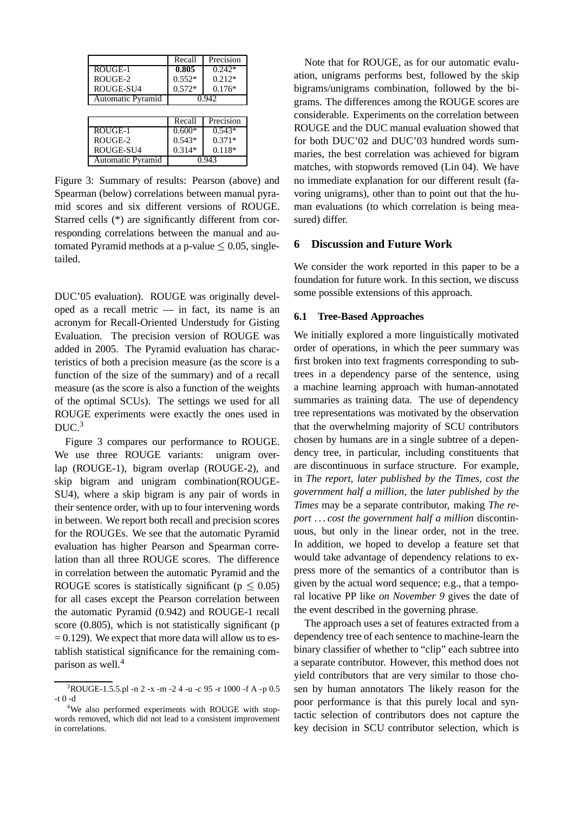|                   | Recall   | Precision |
|-------------------|----------|-----------|
| ROUGE-1           | 0.805    | $0.242*$  |
| ROUGE-2           | $0.552*$ | $0.212*$  |
| ROUGE-SU4         | $0.572*$ | $0.176*$  |
| Automatic Pyramid | 0.942    |           |
|                   |          |           |
|                   |          |           |
|                   | Recall   | Precision |
| ROUGE-1           | $0.600*$ | $0.543*$  |
| ROUGE-2           | $0.543*$ | $0.371*$  |
| ROUGE-SU4         | $0.314*$ | $0.118*$  |

Figure 3: Summary of results: Pearson (above) and Spearman (below) correlations between manual pyramid scores and six different versions of ROUGE. Starred cells (\*) are significantly different from corresponding correlations between the manual and automated Pyramid methods at a p-value  $\leq 0.05$ , singletailed.

DUC'05 evaluation). ROUGE was originally developed as a recall metric — in fact, its name is an acronym for Recall-Oriented Understudy for Gisting Evaluation. The precision version of ROUGE was added in 2005. The Pyramid evaluation has characteristics of both a precision measure (as the score is a function of the size of the summary) and of a recall measure (as the score is also a function of the weights of the optimal SCUs). The settings we used for all ROUGE experiments were exactly the ones used in DUC.<sup>3</sup>

Figure 3 compares our performance to ROUGE. We use three ROUGE variants: unigram overlap (ROUGE-1), bigram overlap (ROUGE-2), and skip bigram and unigram combination(ROUGE-SU4), where a skip bigram is any pair of words in their sentence order, with up to four intervening words in between. We report both recall and precision scores for the ROUGEs. We see that the automatic Pyramid evaluation has higher Pearson and Spearman correlation than all three ROUGE scores. The difference in correlation between the automatic Pyramid and the ROUGE scores is statistically significant ( $p \leq 0.05$ ) give for all cases except the Pearson correlation between the automatic Pyramid (0.942) and ROUGE-1 recall score  $(0.805)$ , which is not statistically significant (p  $= 0.129$ ). We expect that more data will allow us to establish statistical significance for the remaining comparison as well.<sup>4</sup>

Note that for ROUGE, as for our automatic evaluation, unigrams performs best, followed by the skip bigrams/unigrams combination, followed by the bigrams. The differences among the ROUGE scores are considerable. Experiments on the correlation between ROUGE and the DUC manual evaluation showed that for both DUC'02 and DUC'03 hundred words summaries, the best correlation was achieved for bigram matches, with stopwords removed (Lin 04). We have no immediate explanation for our different result (favoring unigrams), other than to point out that the human evaluations (to which correlation is being measured) differ.

## **6 Discussion and Future Work**

We consider the work reported in this paper to be a foundation for future work. In this section, we discuss some possible extensions of this approach.

#### **6.1 Tree-Based Approaches**

We initially explored a more linguistically motivated order of operations, in which the peer summary was first broken into text fragments corresponding to subtrees in a dependency parse of the sentence, using a machine learning approach with human-annotated summaries as training data. The use of dependency tree representations was motivated by the observation that the overwhelming majority of SCU contributors chosen by humans are in a single subtree of a dependency tree, in particular, including constituents that are discontinuous in surface structure. For example, in *The report, later published by the Times, cost the government half a million*, the *later published by the Times* may be a separate contributor, making *The report . . . cost the government half a million* discontinuous, but only in the linear order, not in the tree. In addition, we hoped to develop a feature set that would take advantage of dependency relations to express more of the semantics of a contributor than is given by the actual word sequence; e.g., that a temporal locative PP like *on November 9* gives the date of the event described in the governing phrase.

The approach uses a set of features extracted from a dependency tree of each sentence to machine-learn the binary classifier of whether to "clip" each subtree into a separate contributor. However, this method does not yield contributors that are very similar to those chosen by human annotators The likely reason for the poor performance is that this purely local and syntactic selection of contributors does not capture the key decision in SCU contributor selection, which is

<sup>3</sup>ROUGE-1.5.5.pl -n 2 -x -m -2 4 -u -c 95 -r 1000 -f A -p 0.5 -t 0 -d

<sup>&</sup>lt;sup>4</sup>We also performed experiments with ROUGE with stopwords removed, which did not lead to a consistent improvement in correlations.